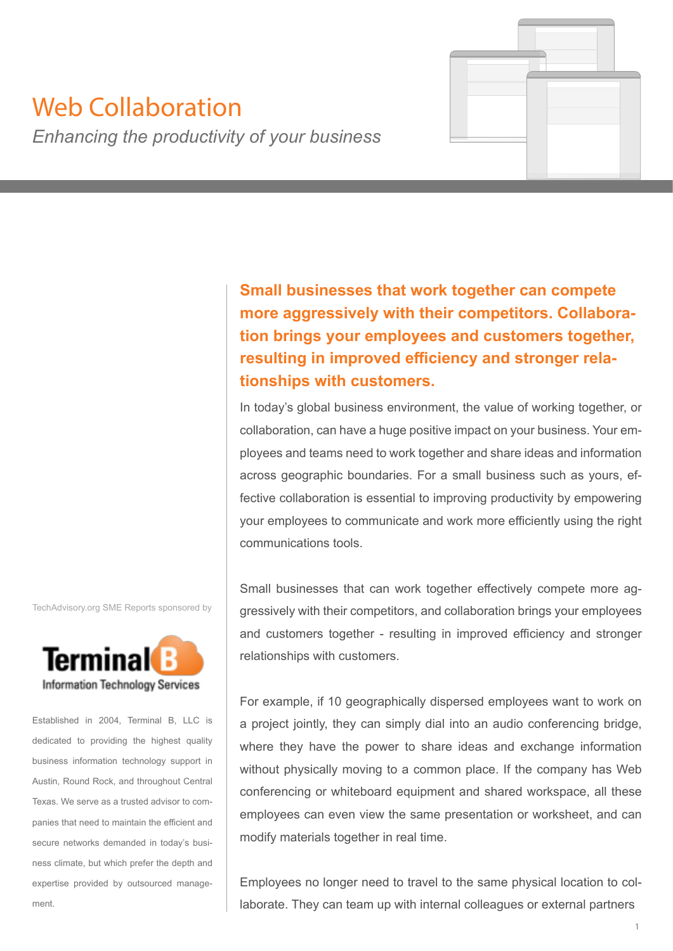# Web Collaboration

*Enhancing the productivity of your business*

**Small businesses that work together can compete more aggressively with their competitors. Collaboration brings your employees and customers together, resulting in improved efficiency and stronger relationships with customers.**

In today's global business environment, the value of working together, or collaboration, can have a huge positive impact on your business. Your employees and teams need to work together and share ideas and information across geographic boundaries. For a small business such as yours, effective collaboration is essential to improving productivity by empowering your employees to communicate and work more efficiently using the right communications tools.

Small businesses that can work together effectively compete more aggressively with their competitors, and collaboration brings your employees and customers together - resulting in improved efficiency and stronger relationships with customers.

For example, if 10 geographically dispersed employees want to work on a project jointly, they can simply dial into an audio conferencing bridge, where they have the power to share ideas and exchange information without physically moving to a common place. If the company has Web conferencing or whiteboard equipment and shared workspace, all these employees can even view the same presentation or worksheet, and can modify materials together in real time.

Employees no longer need to travel to the same physical location to collaborate. They can team up with internal colleagues or external partners

TechAdvisory.org SME Reports sponsored by



Established in 2004, Terminal B, LLC is dedicated to providing the highest quality business information technology support in Austin, Round Rock, and throughout Central Texas. We serve as a trusted advisor to companies that need to maintain the efficient and secure networks demanded in today's business climate, but which prefer the depth and expertise provided by outsourced management.

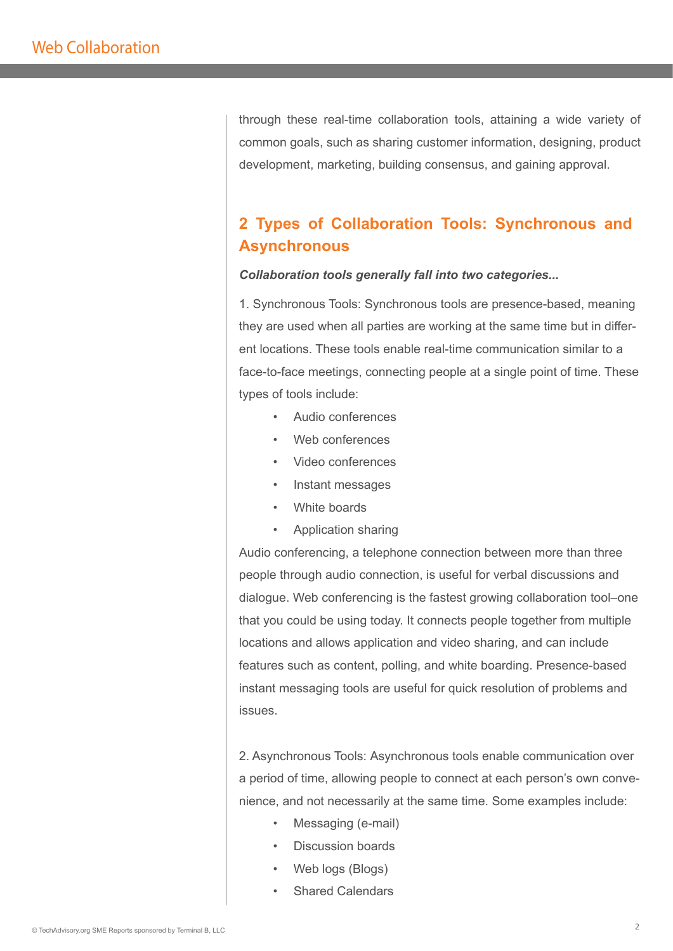through these real-time collaboration tools, attaining a wide variety of common goals, such as sharing customer information, designing, product development, marketing, building consensus, and gaining approval.

# **2 Types of Collaboration Tools: Synchronous and Asynchronous**

#### *Collaboration tools generally fall into two categories...*

1. Synchronous Tools: Synchronous tools are presence-based, meaning they are used when all parties are working at the same time but in different locations. These tools enable real-time communication similar to a face-to-face meetings, connecting people at a single point of time. These types of tools include:

- Audio conferences
- Web conferences
- Video conferences
- Instant messages
- White boards
- Application sharing

Audio conferencing, a telephone connection between more than three people through audio connection, is useful for verbal discussions and dialogue. Web conferencing is the fastest growing collaboration tool–one that you could be using today. It connects people together from multiple locations and allows application and video sharing, and can include features such as content, polling, and white boarding. Presence-based instant messaging tools are useful for quick resolution of problems and issues.

2. Asynchronous Tools: Asynchronous tools enable communication over a period of time, allowing people to connect at each person's own convenience, and not necessarily at the same time. Some examples include:

- Messaging (e-mail)
- Discussion boards
- Web logs (Blogs)
- **Shared Calendars**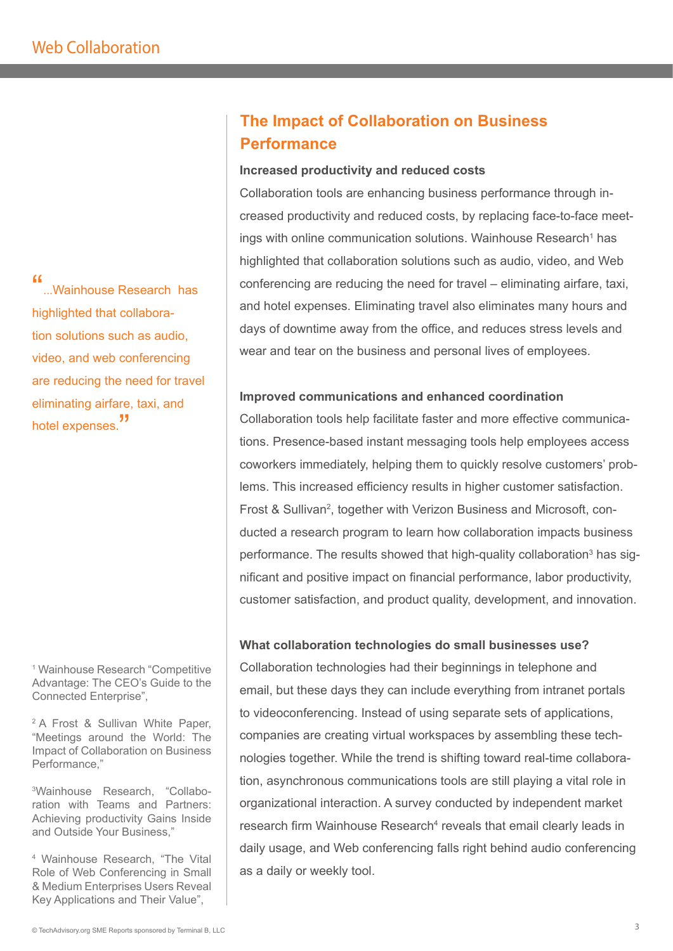"...Wainhouse Research has highlighted that collaboration solutions such as audio, video, and web conferencing are reducing the need for travel eliminating airfare, taxi, and hotel expenses.<sup>"</sup>

1 Wainhouse Research "Competitive Advantage: The CEO's Guide to the Connected Enterprise",

<sup>2</sup> A Frost & Sullivan White Paper, "Meetings around the World: The Impact of Collaboration on Business Performance,"

3Wainhouse Research, "Collaboration with Teams and Partners: Achieving productivity Gains Inside and Outside Your Business,"

4 Wainhouse Research, "The Vital Role of Web Conferencing in Small & Medium Enterprises Users Reveal Key Applications and Their Value",

# **The Impact of Collaboration on Business Performance**

#### **Increased productivity and reduced costs**

Collaboration tools are enhancing business performance through increased productivity and reduced costs, by replacing face-to-face meetings with online communication solutions. Wainhouse Research<sup>1</sup> has highlighted that collaboration solutions such as audio, video, and Web conferencing are reducing the need for travel – eliminating airfare, taxi, and hotel expenses. Eliminating travel also eliminates many hours and days of downtime away from the office, and reduces stress levels and wear and tear on the business and personal lives of employees.

## **Improved communications and enhanced coordination**

Collaboration tools help facilitate faster and more effective communications. Presence-based instant messaging tools help employees access coworkers immediately, helping them to quickly resolve customers' problems. This increased efficiency results in higher customer satisfaction. Frost & Sullivan<sup>2</sup>, together with Verizon Business and Microsoft, conducted a research program to learn how collaboration impacts business performance. The results showed that high-quality collaboration<sup>3</sup> has significant and positive impact on financial performance, labor productivity, customer satisfaction, and product quality, development, and innovation.

## **What collaboration technologies do small businesses use?**

Collaboration technologies had their beginnings in telephone and email, but these days they can include everything from intranet portals to videoconferencing. Instead of using separate sets of applications, companies are creating virtual workspaces by assembling these technologies together. While the trend is shifting toward real-time collaboration, asynchronous communications tools are still playing a vital role in organizational interaction. A survey conducted by independent market research firm Wainhouse Research<sup>4</sup> reveals that email clearly leads in daily usage, and Web conferencing falls right behind audio conferencing as a daily or weekly tool.